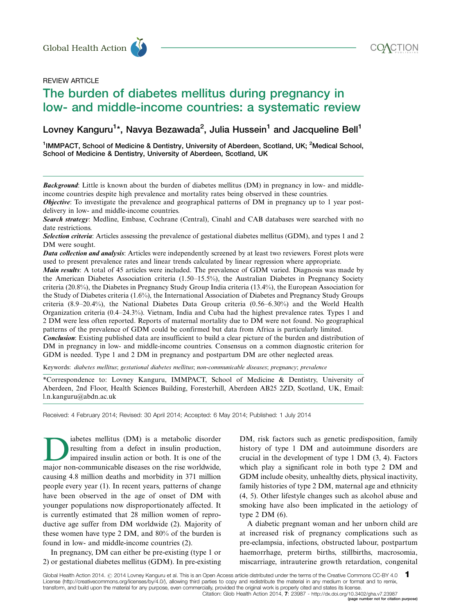



## **REVIEW ARTICLE**

# The burden of diabetes mellitus during pregnancy in low- and middle-income countries: a systematic review Global Health Action<br>
REVIEW ARTICLE<br>
The burden of diabetes mellitus during pregnancy in

Lovney Kanguru<sup>1</sup>\*, Navya Bezawada<sup>2</sup>, Julia Hussein<sup>1</sup> and Jacqueline Bell<sup>1</sup>

<sup>1</sup>IMMPACT, School of Medicine & Dentistry, University of Aberdeen, Scotland, UK; <sup>2</sup>Medical School, School of Medicine & Dentistry, University of Aberdeen, Scotland, UK

**Background:** Little is known about the burden of diabetes mellitus (DM) in pregnancy in low- and middleincome countries despite high prevalence and mortality rates being observed in these countries.

*Objective*: To investigate the prevalence and geographical patterns of DM in pregnancy up to 1 year postdelivery in low- and middle-income countries.

Search strategy: Medline, Embase, Cochrane (Central), Cinahl and CAB databases were searched with no date restrictions.

Selection criteria: Articles assessing the prevalence of gestational diabetes mellitus (GDM), and types 1 and 2 DM were sought.

Data collection and analysis: Articles were independently screened by at least two reviewers. Forest plots were used to present prevalence rates and linear trends calculated by linear regression where appropriate.

Main results: A total of 45 articles were included. The prevalence of GDM varied. Diagnosis was made by the American Diabetes Association criteria (1.50-15.5%), the Australian Diabetes in Pregnancy Society criteria (20.8%), the Diabetes in Pregnancy Study Group India criteria (13.4%), the European Association for the Study of Diabetes criteria (1.6%), the International Association of Diabetes and Pregnancy Study Groups criteria (8.9-20.4%), the National Diabetes Data Group criteria (0.56-6.30%) and the World Health Organization criteria (0.4-24.3%). Vietnam, India and Cuba had the highest prevalence rates. Types 1 and 2 DM were less often reported. Reports of maternal mortality due to DM were not found. No geographical patterns of the prevalence of GDM could be confirmed but data from Africa is particularly limited.

Conclusion: Existing published data are insufficient to build a clear picture of the burden and distribution of DM in pregnancy in low- and middle-income countries. Consensus on a common diagnostic criterion for GDM is needed. Type 1 and 2 DM in pregnancy and postpartum DM are other neglected areas.

Keywords: diabetes mellitus; gestational diabetes mellitus; non-communicable diseases; pregnancy; prevalence

\*Correspondence to: Lovney Kanguru, IMMPACT, School of Medicine & Dentistry, University of Aberdeen, 2nd Floor, Health Sciences Building, Foresterhill, Aberdeen AB25 2ZD, Scotland, UK, Email: l.n.kanguru@abdn.ac.uk

Received: 4 February 2014; Revised: 30 April 2014; Accepted: 6 May 2014; Published: 1 July 2014

iabetes mellitus (DM) is a metabolic disorder<br>resulting from a defect in insulin production,<br>impaired insulin action or both. It is one of the<br>major non-communicable diseases on the rise worldwide resulting from a defect in insulin production, impaired insulin action or both. It is one of the major non-communicable diseases on the rise worldwide, causing 4.8 million deaths and morbidity in 371 million people every year (1). In recent years, patterns of change have been observed in the age of onset of DM with younger populations now disproportionately affected. It is currently estimated that 28 million women of reproductive age suffer from DM worldwide (2). Majority of these women have type 2 DM, and 80% of the burden is found in low- and middle-income countries (2).

In pregnancy, DM can either be pre-existing (type 1 or 2) or gestational diabetes mellitus (GDM). In pre-existing DM, risk factors such as genetic predisposition, family history of type 1 DM and autoimmune disorders are crucial in the development of type 1 DM (3, 4). Factors which play a significant role in both type 2 DM and GDM include obesity, unhealthy diets, physical inactivity, family histories of type 2 DM, maternal age and ethnicity (4, 5). Other lifestyle changes such as alcohol abuse and smoking have also been implicated in the aetiology of type 2 DM (6).

A diabetic pregnant woman and her unborn child are at increased risk of pregnancy complications such as pre-eclampsia, infections, obstructed labour, postpartum haemorrhage, preterm births, stillbirths, macrosomia, miscarriage, intrauterine growth retardation, congenital

(page number not for citation purpose)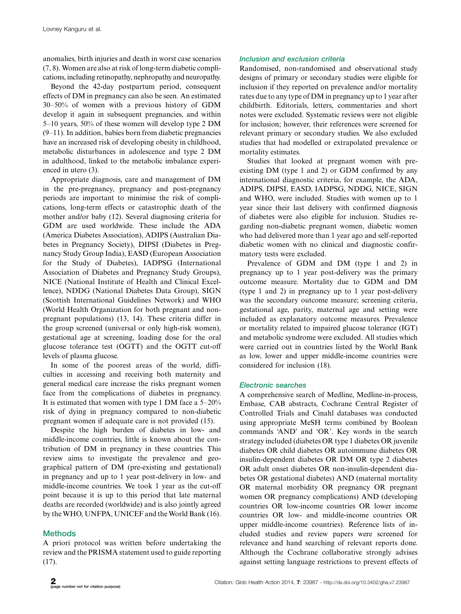anomalies, birth injuries and death in worst case scenarios (7, 8). Women are also at risk of long-term diabetic complications, including retinopathy, nephropathy and neuropathy.

Beyond the 42-day postpartum period, consequent effects of DM in pregnancy can also be seen. An estimated 30-50% of women with a previous history of GDM develop it again in subsequent pregnancies, and within 5-10 years, 50% of these women will develop type 2 DM (9-11). In addition, babies born from diabetic pregnancies have an increased risk of developing obesity in childhood, metabolic disturbances in adolescence and type 2 DM in adulthood, linked to the metabolic imbalance experienced in utero (3).

Appropriate diagnosis, care and management of DM in the pre-pregnancy, pregnancy and post-pregnancy periods are important to minimise the risk of complications, long-term effects or catastrophic death of the mother and/or baby (12). Several diagnosing criteria for GDM are used worldwide. These include the ADA (America Diabetes Association), ADIPS (Australian Diabetes in Pregnancy Society), DIPSI (Diabetes in Pregnancy Study Group India), EASD (European Association for the Study of Diabetes), IADPSG (International Association of Diabetes and Pregnancy Study Groups), NICE (National Institute of Health and Clinical Excellence), NDDG (National Diabetes Data Group), SIGN (Scottish International Guidelines Network) and WHO (World Health Organization for both pregnant and nonpregnant populations) (13, 14). These criteria differ in the group screened (universal or only high-risk women), gestational age at screening, loading dose for the oral glucose tolerance test (OGTT) and the OGTT cut-off levels of plasma glucose.

In some of the poorest areas of the world, difficulties in accessing and receiving both maternity and general medical care increase the risks pregnant women face from the complications of diabetes in pregnancy. It is estimated that women with type 1 DM face a 5-20% risk of dying in pregnancy compared to non-diabetic pregnant women if adequate care is not provided (15).

Despite the high burden of diabetes in low- and middle-income countries, little is known about the contribution of DM in pregnancy in these countries. This review aims to investigate the prevalence and geographical pattern of DM (pre-existing and gestational) in pregnancy and up to 1 year post-delivery in low- and middle-income countries. We took 1 year as the cut-off point because it is up to this period that late maternal deaths are recorded (worldwide) and is also jointly agreed by the WHO, UNFPA, UNICEF and the World Bank (16).

# **Methods**

A priori protocol was written before undertaking the review and the PRISMA statement used to guide reporting (17).

# Inclusion and exclusion criteria

Randomised, non-randomised and observational study designs of primary or secondary studies were eligible for inclusion if they reported on prevalence and/or mortality rates due to any type of DM in pregnancy up to 1 year after childbirth. Editorials, letters, commentaries and short notes were excluded. Systematic reviews were not eligible for inclusion; however, their references were screened for relevant primary or secondary studies. We also excluded studies that had modelled or extrapolated prevalence or mortality estimates.

Studies that looked at pregnant women with preexisting DM (type 1 and 2) or GDM confirmed by any international diagnostic criteria, for example, the ADA, ADIPS, DIPSI, EASD, IADPSG, NDDG, NICE, SIGN and WHO, were included. Studies with women up to 1 year since their last delivery with confirmed diagnosis of diabetes were also eligible for inclusion. Studies regarding non-diabetic pregnant women, diabetic women who had delivered more than 1 year ago and self-reported diabetic women with no clinical and diagnostic confirmatory tests were excluded.

Prevalence of GDM and DM (type 1 and 2) in pregnancy up to 1 year post-delivery was the primary outcome measure. Mortality due to GDM and DM (type 1 and 2) in pregnancy up to 1 year post-delivery was the secondary outcome measure; screening criteria, gestational age, parity, maternal age and setting were included as explanatory outcome measures. Prevalence or mortality related to impaired glucose tolerance (IGT) and metabolic syndrome were excluded. All studies which were carried out in countries listed by the World Bank as low, lower and upper middle-income countries were considered for inclusion (18).

## Electronic searches

A comprehensive search of Medline, Medline-in-process, Embase, CAB abstracts, Cochrane Central Register of Controlled Trials and Cinahl databases was conducted using appropriate MeSH terms combined by Boolean commands 'AND' and 'OR'. Key words in the search strategy included (diabetes OR type 1 diabetes OR juvenile diabetes OR child diabetes OR autoimmune diabetes OR insulin-dependent diabetes OR DM OR type 2 diabetes OR adult onset diabetes OR non-insulin-dependent diabetes OR gestational diabetes) AND (maternal mortality OR maternal morbidity OR pregnancy OR pregnant women OR pregnancy complications) AND (developing countries OR low-income countries OR lower income countries OR low- and middle-income countries OR upper middle-income countries). Reference lists of included studies and review papers were screened for relevance and hand searching of relevant reports done. Although the Cochrane collaborative strongly advises against setting language restrictions to prevent effects of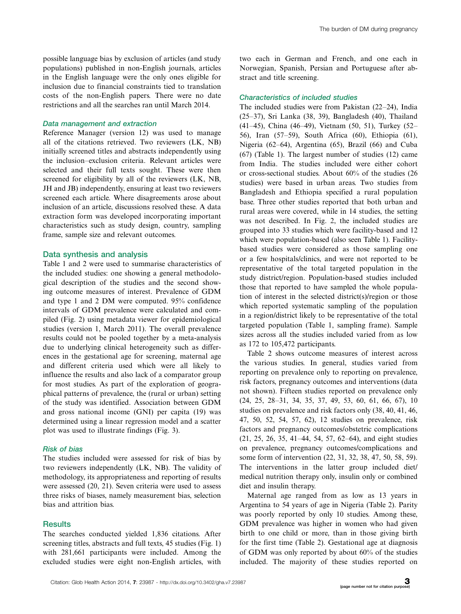possible language bias by exclusion of articles (and study populations) published in non-English journals, articles in the English language were the only ones eligible for inclusion due to financial constraints tied to translation costs of the non-English papers. There were no date restrictions and all the searches ran until March 2014.

#### Data management and extraction

Reference Manager (version 12) was used to manage all of the citations retrieved. Two reviewers (LK, NB) initially screened titles and abstracts independently using the inclusion-exclusion criteria. Relevant articles were selected and their full texts sought. These were then screened for eligibility by all of the reviewers (LK, NB, JH and JB) independently, ensuring at least two reviewers screened each article. Where disagreements arose about inclusion of an article, discussions resolved these. A data extraction form was developed incorporating important characteristics such as study design, country, sampling frame, sample size and relevant outcomes.

#### Data synthesis and analysis

Table 1 and 2 were used to summarise characteristics of the included studies: one showing a general methodological description of the studies and the second showing outcome measures of interest. Prevalence of GDM and type 1 and 2 DM were computed. 95% confidence intervals of GDM prevalence were calculated and compiled (Fig. 2) using metadata viewer for epidemiological studies (version 1, March 2011). The overall prevalence results could not be pooled together by a meta-analysis due to underlying clinical heterogeneity such as differences in the gestational age for screening, maternal age and different criteria used which were all likely to influence the results and also lack of a comparator group for most studies. As part of the exploration of geographical patterns of prevalence, the (rural or urban) setting of the study was identified. Association between GDM and gross national income (GNI) per capita (19) was determined using a linear regression model and a scatter plot was used to illustrate findings (Fig. 3).

#### Risk of bias

The studies included were assessed for risk of bias by two reviewers independently (LK, NB). The validity of methodology, its appropriateness and reporting of results were assessed (20, 21). Seven criteria were used to assess three risks of biases, namely measurement bias, selection bias and attrition bias.

#### **Results**

The searches conducted yielded 1,836 citations. After screening titles, abstracts and full texts, 45 studies (Fig. 1) with 281,661 participants were included. Among the excluded studies were eight non-English articles, with

two each in German and French, and one each in Norwegian, Spanish, Persian and Portuguese after abstract and title screening.

#### Characteristics of included studies

The included studies were from Pakistan (22-24), India (25-37), Sri Lanka (38, 39), Bangladesh (40), Thailand (41-45), China (46-49), Vietnam (50, 51), Turkey (52- 56), Iran (57-59), South Africa (60), Ethiopia (61), Nigeria (62-64), Argentina (65), Brazil (66) and Cuba (67) (Table 1). The largest number of studies (12) came from India. The studies included were either cohort or cross-sectional studies. About 60% of the studies (26 studies) were based in urban areas. Two studies from Bangladesh and Ethiopia specified a rural population base. Three other studies reported that both urban and rural areas were covered, while in 14 studies, the setting was not described. In Fig. 2, the included studies are grouped into 33 studies which were facility-based and 12 which were population-based (also seen Table 1). Facilitybased studies were considered as those sampling one or a few hospitals/clinics, and were not reported to be representative of the total targeted population in the study district/region. Population-based studies included those that reported to have sampled the whole population of interest in the selected district(s)/region or those which reported systematic sampling of the population in a region/district likely to be representative of the total targeted population (Table 1, sampling frame). Sample sizes across all the studies included varied from as low as 172 to 105,472 participants.

Table 2 shows outcome measures of interest across the various studies. In general, studies varied from reporting on prevalence only to reporting on prevalence, risk factors, pregnancy outcomes and interventions (data not shown). Fifteen studies reported on prevalence only (24, 25, 28-31, 34, 35, 37, 49, 53, 60, 61, 66, 67), 10 studies on prevalence and risk factors only (38, 40, 41, 46, 47, 50, 52, 54, 57, 62), 12 studies on prevalence, risk factors and pregnancy outcomes/obstetric complications (21, 25, 26, 35, 41-44, 54, 57, 62-64), and eight studies on prevalence, pregnancy outcomes/complications and some form of intervention (22, 31, 32, 38, 47, 50, 58, 59). The interventions in the latter group included diet/ medical nutrition therapy only, insulin only or combined diet and insulin therapy.

Maternal age ranged from as low as 13 years in Argentina to 54 years of age in Nigeria (Table 2). Parity was poorly reported by only 10 studies. Among these, GDM prevalence was higher in women who had given birth to one child or more, than in those giving birth for the first time (Table 2). Gestational age at diagnosis of GDM was only reported by about 60% of the studies included. The majority of these studies reported on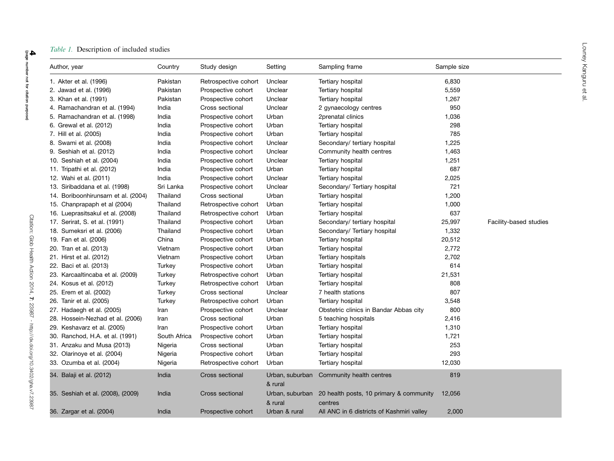#### Table 1. Description of included studies

| Author, year                        | Country      | Study design           | Setting                    | Sampling frame                                     | Sample size |                        |
|-------------------------------------|--------------|------------------------|----------------------------|----------------------------------------------------|-------------|------------------------|
| 1. Akter et al. (1996)              | Pakistan     | Retrospective cohort   | Unclear                    | Tertiary hospital                                  | 6,830       |                        |
| 2. Jawad et al. (1996)              | Pakistan     | Prospective cohort     | Unclear                    | Tertiary hospital                                  | 5,559       |                        |
| 3. Khan et al. (1991)               | Pakistan     | Prospective cohort     | Unclear                    | Tertiary hospital                                  | 1,267       |                        |
| 4. Ramachandran et al. (1994)       | India        | Cross sectional        | Unclear                    | 2 gynaecology centres                              | 950         |                        |
| 5. Ramachandran et al. (1998)       | India        | Prospective cohort     | Urban                      | 2prenatal clinics                                  | 1,036       |                        |
| 6. Grewal et al. (2012)             | India        | Prospective cohort     | Urban                      | Tertiary hospital                                  | 298         |                        |
| 7. Hill et al. (2005)               | India        | Prospective cohort     | Urban                      | Tertiary hospital                                  | 785         |                        |
| 8. Swami et al. (2008)              | India        | Prospective cohort     | Unclear                    | Secondary/ tertiary hospital                       | 1,225       |                        |
| 9. Seshiah et al. (2012)            | India        | Prospective cohort     | Unclear                    | Community health centres                           | 1,463       |                        |
| 10. Seshiah et al. (2004)           | India        | Prospective cohort     | Unclear                    | Tertiary hospital                                  | 1,251       |                        |
| 11. Tripathi et al. (2012)          | India        | Prospective cohort     | Urban                      | Tertiary hospital                                  | 687         |                        |
| 12. Wahi et al. (2011)              | India        | Prospective cohort     | Unclear                    | Tertiary hospital                                  | 2,025       |                        |
| 13. Siribaddana et al. (1998)       | Sri Lanka    | Prospective cohort     | Unclear                    | Secondary/ Tertiary hospital                       | 721         |                        |
| 14. Boriboonhirunsarn et al. (2004) | Thailand     | Cross sectional        | Urban                      | Tertiary hospital                                  | 1,200       |                        |
| 15. Chanprapaph et al (2004)        | Thailand     | Retrospective cohort   | Urban                      | Tertiary hospital                                  | 1,000       |                        |
| 16. Lueprasitsakul et al. (2008)    | Thailand     | Retrospective cohort   | Urban                      | Tertiary hospital                                  | 637         |                        |
| 17. Serirat, S. et al. (1991)       | Thailand     | Prospective cohort     | Urban                      | Secondary/ tertiary hospital                       | 25,997      | Facility-based studies |
| 18. Sumeksri et al. (2006)          | Thailand     | Prospective cohort     | Urban                      | Secondary/ Tertiary hospital                       | 1,332       |                        |
| 19. Fan et al. (2006)               | China        | Prospective cohort     | Urban                      | Tertiary hospital                                  | 20,512      |                        |
| 20. Tran et al. (2013)              | Vietnam      | Prospective cohort     | Urban                      | Tertiary hospital                                  | 2,772       |                        |
| 21. Hirst et al. (2012)             | Vietnam      | Prospective cohort     | Urban                      | Tertiary hospitals                                 | 2,702       |                        |
| 22. Baci et al. (2013)              | Turkey       | Prospective cohort     | Urban                      | Tertiary hospital                                  | 614         |                        |
| 23. Karcaaltincaba et al. (2009)    | Turkey       | Retrospective cohort   | Urban                      | Tertiary hospital                                  | 21,531      |                        |
| 24. Kosus et al. (2012)             | Turkey       | Retrospective cohort   | Urban                      | Tertiary hospital                                  | 808         |                        |
| 25. Erem et al. (2002)              | Turkey       | Cross sectional        | Unclear                    | 7 health stations                                  | 807         |                        |
| 26. Tanir et al. (2005)             | Turkey       | Retrospective cohort   | Urban                      | Tertiary hospital                                  | 3,548       |                        |
| 27. Hadaegh et al. (2005)           | Iran         | Prospective cohort     | Unclear                    | Obstetric clinics in Bandar Abbas city             | 800         |                        |
| 28. Hossein-Nezhad et al. (2006)    | Iran         | Cross sectional        | Urban                      | 5 teaching hospitals                               | 2,416       |                        |
| 29. Keshavarz et al. (2005)         | Iran         | Prospective cohort     | Urban                      | Tertiary hospital                                  | 1,310       |                        |
| 30. Ranchod, H.A. et al. (1991)     | South Africa | Prospective cohort     | Urban                      | Tertiary hospital                                  | 1,721       |                        |
| 31. Anzaku and Musa (2013)          | Nigeria      | Cross sectional        | Urban                      | Tertiary hospital                                  | 253         |                        |
| 32. Olarinoye et al. (2004)         | Nigeria      | Prospective cohort     | Urban                      | Tertiary hospital                                  | 293         |                        |
| 33. Ozumba et al. (2004)            | Nigeria      | Retrospective cohort   | Urban                      | Tertiary hospital                                  | 12,030      |                        |
| 34. Balaji et al. (2012)            | India        | <b>Cross sectional</b> | Urban, suburban<br>& rural | Community health centres                           | 819         |                        |
| 35. Seshiah et al. (2008), (2009)   | India        | <b>Cross sectional</b> | Urban, suburban<br>& rural | 20 health posts, 10 primary & community<br>centres | 12,056      |                        |
| 36. Zargar et al. (2004)            | India        | Prospective cohort     | Urban & rural              | All ANC in 6 districts of Kashmiri valley          | 2.000       |                        |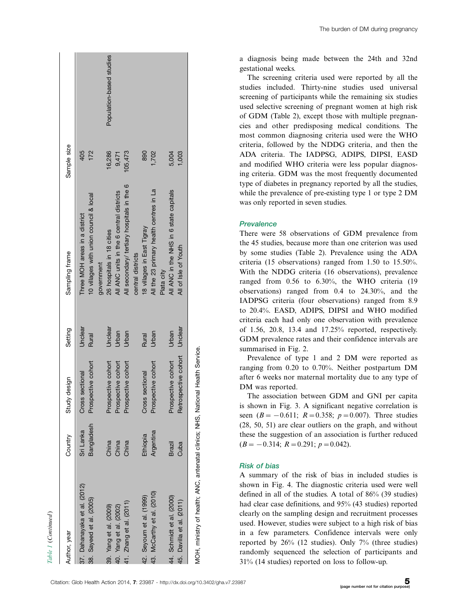| Author, year                                                                   | Country       |                              | Setting      |                                            | Sample size                        |  |
|--------------------------------------------------------------------------------|---------------|------------------------------|--------------|--------------------------------------------|------------------------------------|--|
|                                                                                |               | Study design                 |              | Sampling frame                             |                                    |  |
| 37. Dahanayaka et al. (2012)                                                   | Sri Lanka     | sectional<br>Cross           | Unclear      | Three MOH areas in a district              | 405                                |  |
| 38. Sayeed et al. (2005)                                                       | Bangladesh    | Prospective cohort           | <b>Rural</b> | 10 villages with union council & local     | 172                                |  |
|                                                                                |               |                              |              | government                                 |                                    |  |
| 39. Yang et al. (2009)                                                         | China         | Prospective cohort           | Unclear      | 26 hospitals in 18 cities                  | Population-based studies<br>16,286 |  |
| 40. Yang et al. (2002)                                                         | China         | Prospective cohort           | Urban        | All ANC units in the 6 central districts   | 9,471                              |  |
| 41. Zhang et al. (2011)                                                        | China         | Prospective cohort           | Urban        | All secondary/ tertiary hospitals in the 6 | 105,473                            |  |
|                                                                                |               |                              |              | central districts                          |                                    |  |
| 42. Seyoum et al. (1999)                                                       | Ethiopia      | sectional<br>Cross           | <b>Rural</b> | 18 villages in East Tigray                 | 890                                |  |
| 43. McCarthy et al. (2010)                                                     | Argentina     | Prospective cohort           | Urban        | All the 23 primary health centres in La    | 1,702                              |  |
|                                                                                |               |                              |              | Plata city                                 |                                    |  |
| 44. Schmidt et al. (2000)                                                      | <b>Brazil</b> | Prospective cohort           | Urban        | All ANC in the NHS in 6 state capitals     | 5,004                              |  |
| 45. Davilla et al. (2011)                                                      | Cuba          | Retrospective cohort Unclear |              | All of Isle of Youth                       | 1,003                              |  |
| MOH, ministry of health; ANC, antenatal clinics; NHS, National Health Service. |               |                              |              |                                            |                                    |  |

The burden of DM during pregnancy

a diagnosis being made between the 24th and 32nd gestational weeks.

The screening criteria used were reported by all the studies included. Thirty-nine studies used universal screening of participants while the remaining six studies used selective screening of pregnant women at high risk of GDM (Table 2), except those with multiple pregnancies and other predisposing medical conditions. The most common diagnosing criteria used were the WHO criteria, followed by the NDDG criteria, and then the ADA criteria. The IADPSG, ADIPS, DIPSI, EASD and modified WHO criteria were less popular diagnosing criteria. GDM was the most frequently documented type of diabetes in pregnancy reported by all the studies, while the prevalence of pre-existing type 1 or type 2 DM was only reported in seven studies.

#### **Prevalence**

There were 58 observations of GDM prevalence from the 45 studies, because more than one criterion was used by some studies (Table 2). Prevalence using the ADA criteria (15 observations) ranged from 1.50 to 15.50%. With the NDDG criteria (16 observations), prevalence ranged from 0.56 to 6.30%, the WHO criteria (19 observations) ranged from 0.4 to 24.30%, and the IADPSG criteria (four observations) ranged from 8.9 to 20.4%. EASD, ADIPS, DIPSI and WHO modified criteria each had only one observation with prevalence of 1.56, 20.8, 13.4 and 17.25% reported, respectively. GDM prevalence rates and their confidence intervals are summarised in Fig. 2.

Prevalence of type 1 and 2 DM were reported as ranging from 0.20 to 0.70%. Neither postpartum DM after 6 weeks nor maternal mortality due to any type of DM was reported.

The association between GDM and GNI per capita is shown in Fig. 3. A significant negative correlation is seen ( $B = -0.611$ ;  $R = 0.358$ ;  $p = 0.007$ ). Three studies (28, 50, 51) are clear outliers on the graph, and without these the suggestion of an association is further reduced  $(B=-0.314; R=0.291; p=0.042).$ 

#### Risk of bias

A summary of the risk of bias in included studies is shown in Fig. 4. The diagnostic criteria used were well defined in all of the studies. A total of 86% (39 studies) had clear case definitions, and 95% (43 studies) reported clearly on the sampling design and recruitment processes used. However, studies were subject to a high risk of bias in a few parameters. Confidence intervals were only reported by 26% (12 studies). Only 7% (three studies) randomly sequenced the selection of participants and 31% (14 studies) reported on loss to follow-up.

Table 1 (Continued)

(Continued )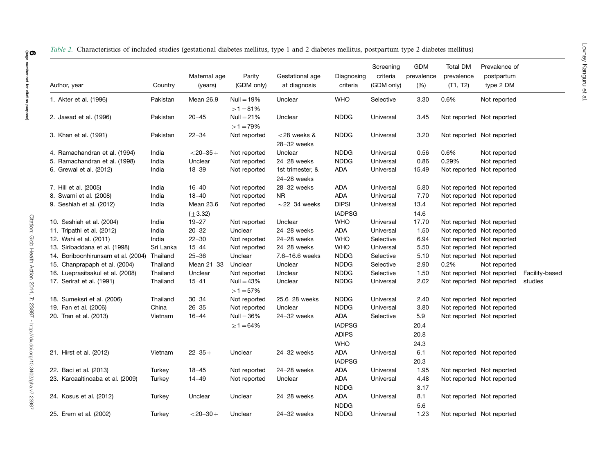| Author, year                                               | Country          | Maternal age<br>(years)   | Parity<br>(GDM only)                      | Gestational age<br>at diagnosis   |
|------------------------------------------------------------|------------------|---------------------------|-------------------------------------------|-----------------------------------|
| 1. Akter et al. (1996)                                     | Pakistan         | Mean 26.9                 | Null $=$ 19%                              | Unclear                           |
| 2. Jawad et al. (1996)                                     | Pakistan         | $20 - 45$                 | $>1 = 81\%$<br>Null $=$ 21%<br>$>1 = 79%$ | Unclear                           |
| 3. Khan et al. (1991)                                      | Pakistan         | $22 - 34$                 | Not reported                              | $<$ 28 weeks &<br>$28-32$ weeks   |
| 4. Ramachandran et al. (1994)                              | India            | $<$ 20-35 +               | Not reported                              | Unclear                           |
| 5. Ramachandran et al. (1998)                              | India            | Unclear                   | Not reported                              | $24-28$ weeks                     |
| 6. Grewal et al. (2012)                                    | India            | $18 - 39$                 | Not reported                              | 1st trimester, &<br>$24-28$ weeks |
| 7. Hill et al. (2005)                                      | India            | $16 - 40$                 | Not reported                              | 28-32 weeks                       |
| 8. Swami et al. (2008)                                     | India            | $18 - 40$                 | Not reported                              | NR.                               |
| 9. Seshiah et al. (2012)                                   | India            | Mean 23.6<br>$(\pm 3.32)$ | Not reported                              | $\sim$ 22-34 weeks                |
| 10. Seshiah et al. (2004)                                  | India            | $19 - 27$                 | Not reported                              | Unclear                           |
| 11. Tripathi et al. (2012)                                 | India            | $20 - 32$                 | Unclear                                   | $24-28$ weeks                     |
| 12. Wahi et al. (2011)                                     | India            | $22 - 30$                 | Not reported                              | $24-28$ weeks                     |
| 13. Siribaddana et al. (1998)                              | Sri Lanka        | $15 - 44$                 | Not reported                              | $24-28$ weeks                     |
| 14. Boriboonhirunsarn et al. (2004)                        | Thailand         | $25 - 36$                 | Unclear                                   | 7.6-16.6 weeks                    |
| 15. Chanprapaph et al. (2004)                              | Thailand         | Mean $21-33$              | Unclear                                   | Unclear                           |
| 16. Lueprasitsakul et al. (2008)                           | Thailand         | Unclear                   | Not reported                              | Unclear                           |
| 17. Serirat et al. (1991)                                  | Thailand         | $15 - 41$                 | $Null = 43%$<br>$>1 = 57\%$               | Unclear                           |
| 18. Sumeksri et al. (2006)                                 | Thailand         | $30 - 34$                 | Not reported                              | 25.6-28 weeks                     |
| 19. Fan et al. (2006)                                      | China            | $26 - 35$                 | Not reported                              | Unclear                           |
| 20. Tran et al. (2013)                                     | Vietnam          | $16 - 44$                 | Null = $36\%$<br>$\geq$ 1 = 64%           | $24-32$ weeks                     |
| 21. Hirst et al. (2012)                                    | Vietnam          | $22 - 35 +$               | Unclear                                   | $24-32$ weeks                     |
| 22. Baci et al. (2013)<br>23. Karcaaltincaba et al. (2009) | Turkey<br>Turkev | 18–45<br>$14 - 49$        | Not reported<br>Not reported              | $24-28$ weeks<br>Unclear          |

Table 2. Characteristics of included studies (gestational diabetes mellitus, type 1 and 2 diabetes mellitus, postpartum type 2 diabetes mellitus)

| 1. Akter et al. (1996)              | Pakistan                                          | <b>Mean 26.9</b> | $Null = 19%$                | Unclear                                    | <b>WHO</b>    | Selective                                 | 3.30  | 0.6%        | Not reported |                                                                                                                                                                                                                                                                                                                                                                                                                                                                                                                                                                                                                                               |
|-------------------------------------|---------------------------------------------------|------------------|-----------------------------|--------------------------------------------|---------------|-------------------------------------------|-------|-------------|--------------|-----------------------------------------------------------------------------------------------------------------------------------------------------------------------------------------------------------------------------------------------------------------------------------------------------------------------------------------------------------------------------------------------------------------------------------------------------------------------------------------------------------------------------------------------------------------------------------------------------------------------------------------------|
| 2. Jawad et al. (1996)              | Pakistan                                          | $20 - 45$        | Null = $21%$                | Unclear                                    | <b>NDDG</b>   | Universal                                 | 3.45  |             |              |                                                                                                                                                                                                                                                                                                                                                                                                                                                                                                                                                                                                                                               |
| 3. Khan et al. (1991)               | Pakistan                                          | $22 - 34$        | Not reported                | $<$ 28 weeks $\&$                          | <b>NDDG</b>   | Universal                                 | 3.20  |             |              |                                                                                                                                                                                                                                                                                                                                                                                                                                                                                                                                                                                                                                               |
| 4. Ramachandran et al. (1994)       | India                                             | $<$ 20-35+       |                             | Unclear                                    |               | Universal                                 | 0.56  | 0.6%        |              |                                                                                                                                                                                                                                                                                                                                                                                                                                                                                                                                                                                                                                               |
| 5. Ramachandran et al. (1998)       | India                                             | Unclear          | Not reported                | $24-28$ weeks                              | <b>NDDG</b>   | Universal                                 | 0.86  | 0.29%       | Not reported |                                                                                                                                                                                                                                                                                                                                                                                                                                                                                                                                                                                                                                               |
| 6. Grewal et al. (2012)             | India                                             | $18 - 39$        | Not reported                | 1st trimester, &<br>$24-28$ weeks          | <b>ADA</b>    | Universal                                 | 15.49 |             |              |                                                                                                                                                                                                                                                                                                                                                                                                                                                                                                                                                                                                                                               |
| 7. Hill et al. (2005)               | India                                             | $16 - 40$        | Not reported                | 28-32 weeks                                | <b>ADA</b>    | Universal                                 | 5.80  |             |              |                                                                                                                                                                                                                                                                                                                                                                                                                                                                                                                                                                                                                                               |
| 8. Swami et al. (2008)              | India                                             | $18 - 40$        | Not reported                | <b>NR</b>                                  | <b>ADA</b>    | Universal                                 | 7.70  |             |              |                                                                                                                                                                                                                                                                                                                                                                                                                                                                                                                                                                                                                                               |
| 9. Seshiah et al. (2012)            | India                                             |                  | Not reported                | $\sim$ 22-34 weeks                         | <b>DIPSI</b>  | Universal                                 | 13.4  |             |              |                                                                                                                                                                                                                                                                                                                                                                                                                                                                                                                                                                                                                                               |
|                                     |                                                   | $(\pm 3.32)$     |                             |                                            | <b>IADPSG</b> |                                           | 14.6  |             |              |                                                                                                                                                                                                                                                                                                                                                                                                                                                                                                                                                                                                                                               |
| 10. Seshiah et al. (2004)           | India                                             | $19 - 27$        | Not reported                | Unclear                                    | <b>WHO</b>    | Universal                                 | 17.70 |             |              |                                                                                                                                                                                                                                                                                                                                                                                                                                                                                                                                                                                                                                               |
| 11. Tripathi et al. (2012)          | India                                             | $20 - 32$        | Unclear                     | $24-28$ weeks                              | ADA           | Universal                                 | 1.50  |             |              |                                                                                                                                                                                                                                                                                                                                                                                                                                                                                                                                                                                                                                               |
|                                     | India                                             | $22 - 30$        | Not reported                | $24-28$ weeks                              | <b>WHO</b>    | Selective                                 | 6.94  |             |              |                                                                                                                                                                                                                                                                                                                                                                                                                                                                                                                                                                                                                                               |
| 13. Siribaddana et al. (1998)       | Sri Lanka                                         | $15 - 44$        | Not reported                | $24-28$ weeks                              | <b>WHO</b>    | Universal                                 | 5.50  |             |              |                                                                                                                                                                                                                                                                                                                                                                                                                                                                                                                                                                                                                                               |
| 14. Boriboonhirunsarn et al. (2004) | Thailand                                          | $25 - 36$        | Unclear                     | 7.6-16.6 weeks                             | <b>NDDG</b>   | Selective                                 | 5.10  |             |              |                                                                                                                                                                                                                                                                                                                                                                                                                                                                                                                                                                                                                                               |
| 15. Chanprapaph et al. (2004)       | Thailand                                          | Mean 21-33       | Unclear                     | Unclear                                    | <b>NDDG</b>   | Selective                                 | 2.90  | 0.2%        | Not reported |                                                                                                                                                                                                                                                                                                                                                                                                                                                                                                                                                                                                                                               |
| 16. Lueprasitsakul et al. (2008)    | Thailand                                          | Unclear          | Not reported                | Unclear                                    | <b>NDDG</b>   | Selective                                 | 1.50  |             |              | Facility-based                                                                                                                                                                                                                                                                                                                                                                                                                                                                                                                                                                                                                                |
| 17. Serirat et al. (1991)           | Thailand                                          | $15 - 41$        | $Null = 43%$<br>$>1 = 57\%$ | Unclear                                    | <b>NDDG</b>   | Universal                                 | 2.02  |             |              | studies                                                                                                                                                                                                                                                                                                                                                                                                                                                                                                                                                                                                                                       |
| 18. Sumeksri et al. (2006)          | Thailand                                          | $30 - 34$        | Not reported                | 25.6-28 weeks                              | <b>NDDG</b>   | Universal                                 | 2.40  |             |              |                                                                                                                                                                                                                                                                                                                                                                                                                                                                                                                                                                                                                                               |
| 19. Fan et al. (2006)               | China                                             | $26 - 35$        | Not reported                | Unclear                                    | <b>NDDG</b>   | Universal                                 | 3.80  |             |              |                                                                                                                                                                                                                                                                                                                                                                                                                                                                                                                                                                                                                                               |
| 20. Tran et al. (2013)              | Vietnam                                           | $16 - 44$        | $Null = 36\%$               | $24-32$ weeks                              | <b>ADA</b>    | Selective                                 | 5.9   |             |              |                                                                                                                                                                                                                                                                                                                                                                                                                                                                                                                                                                                                                                               |
|                                     |                                                   |                  | $\geq$ 1 = 64%              |                                            | <b>IADPSG</b> |                                           | 20.4  |             |              |                                                                                                                                                                                                                                                                                                                                                                                                                                                                                                                                                                                                                                               |
|                                     |                                                   |                  |                             |                                            |               |                                           |       |             |              |                                                                                                                                                                                                                                                                                                                                                                                                                                                                                                                                                                                                                                               |
|                                     |                                                   |                  |                             |                                            |               |                                           | 24.3  |             |              |                                                                                                                                                                                                                                                                                                                                                                                                                                                                                                                                                                                                                                               |
|                                     |                                                   | $22 - 35 +$      | Unclear                     | $24-32$ weeks                              | <b>ADA</b>    | Universal                                 |       |             |              |                                                                                                                                                                                                                                                                                                                                                                                                                                                                                                                                                                                                                                               |
|                                     |                                                   |                  |                             |                                            | <b>IADPSG</b> |                                           | 20.3  |             |              |                                                                                                                                                                                                                                                                                                                                                                                                                                                                                                                                                                                                                                               |
| 22. Baci et al. (2013)              | Turkey                                            | $18 - 45$        | Not reported                | $24-28$ weeks                              | <b>ADA</b>    | Universal                                 | 1.95  |             |              |                                                                                                                                                                                                                                                                                                                                                                                                                                                                                                                                                                                                                                               |
| 23. Karcaaltincaba et al. (2009)    | Turkey                                            | $14 - 49$        | Not reported                | Unclear                                    | <b>ADA</b>    | Universal                                 | 4.48  |             |              |                                                                                                                                                                                                                                                                                                                                                                                                                                                                                                                                                                                                                                               |
|                                     |                                                   |                  |                             |                                            | <b>NDDG</b>   |                                           | 3.17  |             |              |                                                                                                                                                                                                                                                                                                                                                                                                                                                                                                                                                                                                                                               |
| 24. Kosus et al. (2012)             | Turkey                                            | Unclear          | Unclear                     | $24-28$ weeks                              | ADA           | Universal                                 | 8.1   |             |              |                                                                                                                                                                                                                                                                                                                                                                                                                                                                                                                                                                                                                                               |
|                                     |                                                   |                  |                             |                                            | <b>NDDG</b>   |                                           | 5.6   |             |              |                                                                                                                                                                                                                                                                                                                                                                                                                                                                                                                                                                                                                                               |
| 25. Erem et al. (2002)              | Turkey                                            | $<$ 20-30+       | Unclear                     | $24-32$ weeks                              | <b>NDDG</b>   | Universal                                 | 1.23  |             |              |                                                                                                                                                                                                                                                                                                                                                                                                                                                                                                                                                                                                                                               |
|                                     | 12. Wahi et al. (2011)<br>21. Hirst et al. (2012) | Vietnam          | <b>Mean 23.6</b>            | $>1 = 81\%$<br>$>1 = 79\%$<br>Not reported | $28-32$ weeks | <b>NDDG</b><br><b>ADIPS</b><br><b>WHO</b> |       | 20.8<br>6.1 |              | Not reported Not reported<br>Not reported Not reported<br>Not reported<br>Not reported Not reported<br>Not reported Not reported<br>Not reported Not reported<br>Not reported Not reported<br>Not reported Not reported<br>Not reported Not reported<br>Not reported Not reported<br>Not reported Not reported<br>Not reported Not reported<br>Not reported Not reported<br>Not reported Not reported<br>Not reported Not reported<br>Not reported Not reported<br>Not reported Not reported<br>Not reported Not reported<br>Not reported Not reported<br>Not reported Not reported<br>Not reported Not reported<br>Not reported Not reported |

Diagnosing criteria

Screening criteria (GDM only)

GDM

(%)

prevalence prevalence

Total DM

Prevalence of postpartum type 2 DM

(T1, T2)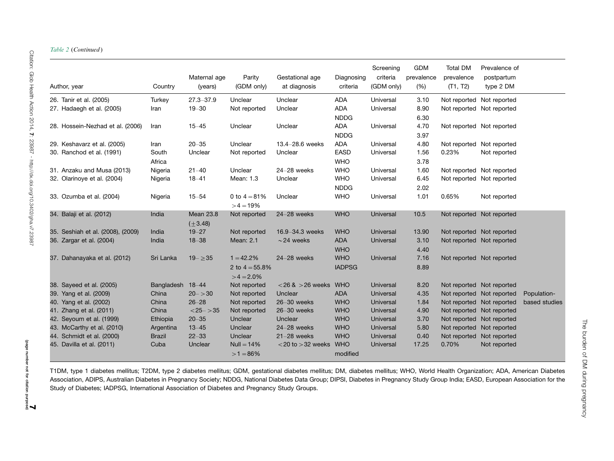|                                   |                  |                                  |                                   |                                 |                        | Screening              | <b>GDM</b>         | <b>Total DM</b>        | Prevalence of             |               |
|-----------------------------------|------------------|----------------------------------|-----------------------------------|---------------------------------|------------------------|------------------------|--------------------|------------------------|---------------------------|---------------|
| Author, year                      | Country          | Maternal age<br>(years)          | Parity<br>(GDM only)              | Gestational age<br>at diagnosis | Diagnosing<br>criteria | criteria<br>(GDM only) | prevalence<br>(% ) | prevalence<br>(T1, T2) | postpartum<br>type 2 DM   |               |
|                                   |                  |                                  |                                   |                                 |                        |                        |                    |                        |                           |               |
| 26. Tanir et al. (2005)           | Turkey           | $27.3 - 37.9$                    | Unclear                           | Unclear                         | <b>ADA</b>             | Universal              | 3.10               |                        | Not reported Not reported |               |
| 27. Hadaegh et al. (2005)         | Iran             | $19 - 30$                        | Not reported                      | Unclear                         | <b>ADA</b>             | Universal              | 8.90               |                        | Not reported Not reported |               |
|                                   |                  |                                  |                                   |                                 | <b>NDDG</b>            |                        | 6.30               |                        |                           |               |
| 28. Hossein-Nezhad et al. (2006)  | Iran             | $15 - 45$                        | Unclear                           | Unclear                         | ADA                    | Universal              | 4.70               |                        | Not reported Not reported |               |
|                                   |                  |                                  |                                   |                                 | <b>NDDG</b>            |                        | 3.97               |                        |                           |               |
| 29. Keshavarz et al. (2005)       | Iran             | $20 - 35$                        | Unclear                           | 13.4-28.6 weeks                 | <b>ADA</b>             | Universal              | 4.80               |                        | Not reported Not reported |               |
| 30. Ranchod et al. (1991)         | South            | Unclear                          | Not reported                      | Unclear                         | <b>EASD</b>            | Universal              | 1.56               | 0.23%                  | Not reported              |               |
|                                   | Africa           |                                  |                                   |                                 | <b>WHO</b>             |                        | 3.78               |                        |                           |               |
| 31. Anzaku and Musa (2013)        | Nigeria          | $21 - 40$                        | Unclear                           | $24-28$ weeks                   | <b>WHO</b>             | Universal              | 1.60               |                        | Not reported Not reported |               |
| 32. Olarinove et al. (2004)       | Nigeria          | $18 - 41$                        | Mean: 1.3                         | Unclear                         | <b>WHO</b>             | Universal              | 6.45               |                        | Not reported Not reported |               |
|                                   |                  |                                  | 0 to $4 = 81%$                    |                                 | <b>NDDG</b>            | Universal              | 2.02               |                        |                           |               |
| 33. Ozumba et al. (2004)          | Nigeria          | $15 - 54$                        | $>4 = 19\%$                       | Unclear                         | <b>WHO</b>             |                        | 1.01               | 0.65%                  | Not reported              |               |
| 34. Balaji et al. (2012)          | India            | <b>Mean 23.8</b><br>$(\pm 3.48)$ | Not reported                      | $24-28$ weeks                   | <b>WHO</b>             | Universal              | 10.5               |                        | Not reported Not reported |               |
| 35. Seshiah et al. (2008), (2009) | India            | $19 - 27$                        | Not reported                      | 16.9-34.3 weeks                 | <b>WHO</b>             | Universal              | 13.90              |                        | Not reported Not reported |               |
| 36. Zargar et al. (2004)          | India            | $18 - 38$                        | Mean: 2.1                         | $\sim$ 24 weeks                 | <b>ADA</b>             | Universal              | 3.10               |                        | Not reported Not reported |               |
|                                   |                  |                                  |                                   |                                 | <b>WHO</b>             |                        | 4.40               |                        |                           |               |
| 37. Dahanayaka et al. (2012)      | Sri Lanka        | $19 - \ge 35$                    | $1 = 42.2%$                       | $24-28$ weeks                   | <b>WHO</b>             | Universal              | 7.16               |                        | Not reported Not reported |               |
|                                   |                  |                                  | 2 to $4 = 55.8\%$<br>$>4 = 2.0\%$ |                                 | <b>IADPSG</b>          |                        | 8.89               |                        |                           |               |
| 38. Sayeed et al. (2005)          | Bangladesh 18-44 |                                  | Not reported                      | $<$ 26 & $>$ 26 weeks           | <b>WHO</b>             | Universal              | 8.20               |                        | Not reported Not reported |               |
| 39. Yang et al. (2009)            | China            | $20 - > 30$                      | Not reported                      | Unclear                         | <b>ADA</b>             | Universal              | 4.35               |                        | Not reported Not reported | Population-   |
| 40. Yang et al. (2002)            | China            | $26 - 28$                        | Not reported                      | $26 - 30$ weeks                 | <b>WHO</b>             | Universal              | 1.84               |                        | Not reported Not reported | based studies |
| 41. Zhang et al. (2011)           | China            | $<$ 25 - $>$ 35                  | Not reported                      | $26 - 30$ weeks                 | <b>WHO</b>             | Universal              | 4.90               |                        | Not reported Not reported |               |
| 42. Seyoum et al. (1999)          | Ethiopia         | $20 - 35$                        | Unclear                           | Unclear                         | <b>WHO</b>             | Universal              | 3.70               |                        | Not reported Not reported |               |
| 43. McCarthy et al. (2010)        | Argentina        | $13 - 45$                        | Unclear                           | $24-28$ weeks                   | <b>WHO</b>             | Universal              | 5.80               |                        | Not reported Not reported |               |
| 44. Schmidt et al. (2000)         | <b>Brazil</b>    | $22 - 33$                        | Unclear                           | $21-28$ weeks                   | <b>WHO</b>             | Universal              | 0.40               |                        | Not reported Not reported |               |
| 45. Davilla et al. (2011)         | Cuba             | Unclear                          | $Null = 14%$                      | $<$ 20 to $>$ 32 weeks          | <b>WHO</b>             | Universal              | 17.25              | 0.70%                  | Not reported              |               |
|                                   |                  |                                  | $>1 = 86\%$                       |                                 | modified               |                        |                    |                        |                           |               |

T1DM, type 1 diabetes mellitus; T2DM, type 2 diabetes mellitus; GDM, gestational diabetes mellitus; DM, diabetes mellitus; WHO, World Health Organization; ADA, American Diabetes Association, ADIPS, Australian Diabetes in Pregnancy Society; NDDG, National Diabetes Data Group; DIPSI, Diabetes in Pregnancy Study Group India; EASD, European Association for the Study of Diabetes; IADPSG, International Association of Diabetes and Pregnancy Study Groups.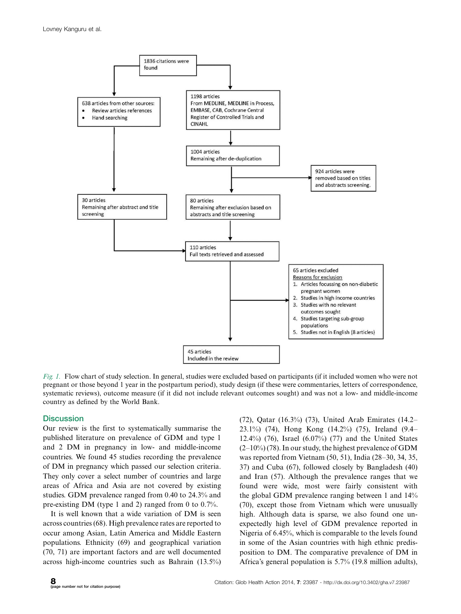

Fig. 1. Flow chart of study selection. In general, studies were excluded based on participants (if it included women who were not pregnant or those beyond 1 year in the postpartum period), study design (if these were commentaries, letters of correspondence, systematic reviews), outcome measure (if it did not include relevant outcomes sought) and was not a low- and middle-income country as defined by the World Bank.

#### **Discussion**

Our review is the first to systematically summarise the published literature on prevalence of GDM and type 1 and 2 DM in pregnancy in low- and middle-income countries. We found 45 studies recording the prevalence of DM in pregnancy which passed our selection criteria. They only cover a select number of countries and large areas of Africa and Asia are not covered by existing studies. GDM prevalence ranged from 0.40 to 24.3% and pre-existing DM (type 1 and 2) ranged from 0 to 0.7%.

It is well known that a wide variation of DM is seen across countries (68). High prevalence rates are reported to occur among Asian, Latin America and Middle Eastern populations. Ethnicity (69) and geographical variation (70, 71) are important factors and are well documented across high-income countries such as Bahrain (13.5%) (72), Qatar (16.3%) (73), United Arab Emirates (14.2- 23.1%) (74), Hong Kong (14.2%) (75), Ireland (9.4- 12.4%) (76), Israel (6.07%) (77) and the United States  $(2-10\%)$  (78). In our study, the highest prevalence of GDM was reported from Vietnam (50, 51), India (28-30, 34, 35, 37) and Cuba (67), followed closely by Bangladesh (40) and Iran (57). Although the prevalence ranges that we found were wide, most were fairly consistent with the global GDM prevalence ranging between 1 and 14% (70), except those from Vietnam which were unusually high. Although data is sparse, we also found one unexpectedly high level of GDM prevalence reported in Nigeria of 6.45%, which is comparable to the levels found in some of the Asian countries with high ethnic predisposition to DM. The comparative prevalence of DM in Africa's general population is 5.7% (19.8 million adults),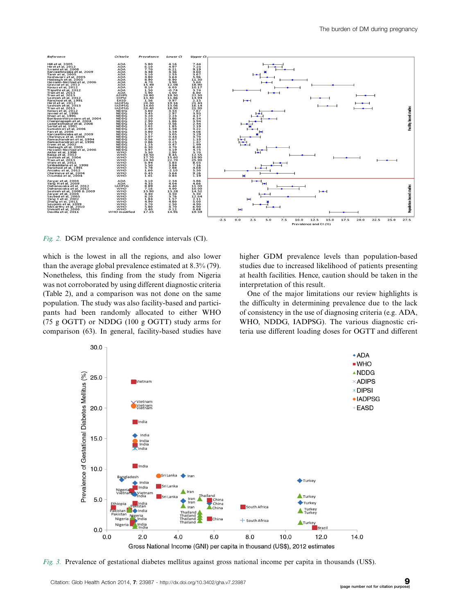

Fig. 2. DGM prevalence and confidence intervals (CI).

which is the lowest in all the regions, and also lower than the average global prevalence estimated at 8.3% (79). Nonetheless, this finding from the study from Nigeria was not corroborated by using different diagnostic criteria (Table 2), and a comparison was not done on the same population. The study was also facility-based and participants had been randomly allocated to either WHO (75 g OGTT) or NDDG (100 g OGTT) study arms for comparison (63). In general, facility-based studies have higher GDM prevalence levels than population-based studies due to increased likelihood of patients presenting at health facilities. Hence, caution should be taken in the interpretation of this result.

One of the major limitations our review highlights is the difficulty in determining prevalence due to the lack of consistency in the use of diagnosing criteria (e.g. ADA, WHO, NDDG, IADPSG). The various diagnostic criteria use different loading doses for OGTT and different



Fig. 3. Prevalence of gestational diabetes mellitus against gross national income per capita in thousands (US\$).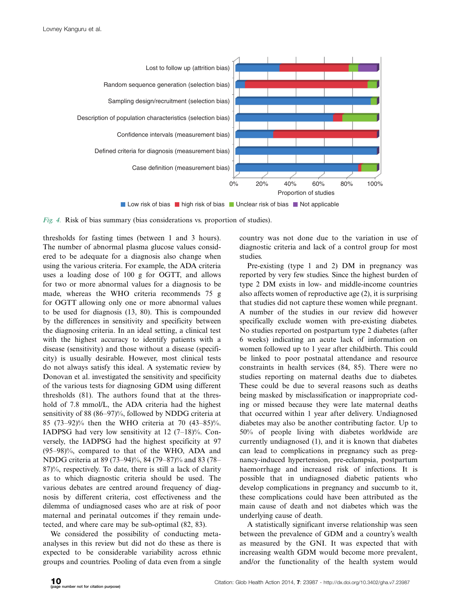

Fig. 4. Risk of bias summary (bias considerations vs. proportion of studies).

thresholds for fasting times (between 1 and 3 hours). The number of abnormal plasma glucose values considered to be adequate for a diagnosis also change when using the various criteria. For example, the ADA criteria uses a loading dose of 100 g for OGTT, and allows for two or more abnormal values for a diagnosis to be made, whereas the WHO criteria recommends 75 g for OGTT allowing only one or more abnormal values to be used for diagnosis (13, 80). This is compounded by the differences in sensitivity and specificity between the diagnosing criteria. In an ideal setting, a clinical test with the highest accuracy to identify patients with a disease (sensitivity) and those without a disease (specificity) is usually desirable. However, most clinical tests do not always satisfy this ideal. A systematic review by Donovan et al. investigated the sensitivity and specificity of the various tests for diagnosing GDM using different thresholds (81). The authors found that at the threshold of 7.8 mmol/L, the ADA criteria had the highest sensitivity of 88 (86-97)%, followed by NDDG criteria at 85 (73-92)% then the WHO criteria at 70 (43-85)%. IADPSG had very low sensitivity at 12 (7-18)%. Conversely, the IADPSG had the highest specificity at 97 (95-98)%, compared to that of the WHO, ADA and NDDG criteria at 89 (73-94)%, 84 (79-87)% and 83 (78- 87)%, respectively. To date, there is still a lack of clarity as to which diagnostic criteria should be used. The various debates are centred around frequency of diagnosis by different criteria, cost effectiveness and the dilemma of undiagnosed cases who are at risk of poor maternal and perinatal outcomes if they remain undetected, and where care may be sub-optimal (82, 83).

We considered the possibility of conducting metaanalyses in this review but did not do these as there is expected to be considerable variability across ethnic groups and countries. Pooling of data even from a single

country was not done due to the variation in use of diagnostic criteria and lack of a control group for most studies.

Pre-existing (type 1 and 2) DM in pregnancy was reported by very few studies. Since the highest burden of type 2 DM exists in low- and middle-income countries also affects women of reproductive age (2), it is surprising that studies did not capture these women while pregnant. A number of the studies in our review did however specifically exclude women with pre-existing diabetes. No studies reported on postpartum type 2 diabetes (after 6 weeks) indicating an acute lack of information on women followed up to 1 year after childbirth. This could be linked to poor postnatal attendance and resource constraints in health services (84, 85). There were no studies reporting on maternal deaths due to diabetes. These could be due to several reasons such as deaths being masked by misclassification or inappropriate coding or missed because they were late maternal deaths that occurred within 1 year after delivery. Undiagnosed diabetes may also be another contributing factor. Up to 50% of people living with diabetes worldwide are currently undiagnosed (1), and it is known that diabetes can lead to complications in pregnancy such as pregnancy-induced hypertension, pre-eclampsia, postpartum haemorrhage and increased risk of infections. It is possible that in undiagnosed diabetic patients who develop complications in pregnancy and succumb to it, these complications could have been attributed as the main cause of death and not diabetes which was the underlying cause of death.

A statistically significant inverse relationship was seen between the prevalence of GDM and a country's wealth as measured by the GNI. It was expected that with increasing wealth GDM would become more prevalent, and/or the functionality of the health system would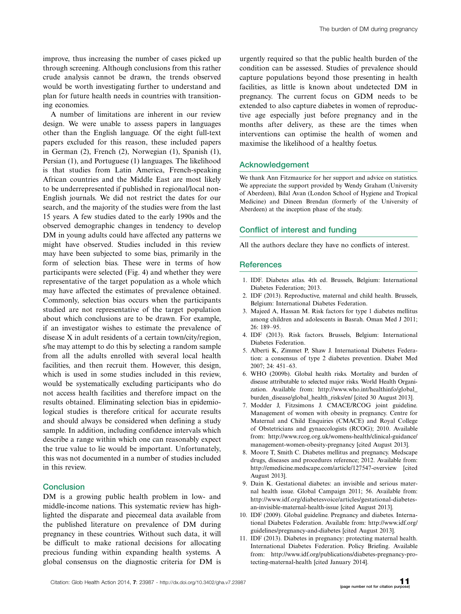improve, thus increasing the number of cases picked up through screening. Although conclusions from this rather crude analysis cannot be drawn, the trends observed would be worth investigating further to understand and plan for future health needs in countries with transitioning economies.

A number of limitations are inherent in our review design. We were unable to assess papers in languages other than the English language. Of the eight full-text papers excluded for this reason, these included papers in German (2), French (2), Norwegian (1), Spanish (1), Persian (1), and Portuguese (1) languages. The likelihood is that studies from Latin America, French-speaking African countries and the Middle East are most likely to be underrepresented if published in regional/local non-English journals. We did not restrict the dates for our search, and the majority of the studies were from the last 15 years. A few studies dated to the early 1990s and the observed demographic changes in tendency to develop DM in young adults could have affected any patterns we might have observed. Studies included in this review may have been subjected to some bias, primarily in the form of selection bias. These were in terms of how participants were selected (Fig. 4) and whether they were representative of the target population as a whole which may have affected the estimates of prevalence obtained. Commonly, selection bias occurs when the participants studied are not representative of the target population about which conclusions are to be drawn. For example, if an investigator wishes to estimate the prevalence of disease X in adult residents of a certain town/city/region, s/he may attempt to do this by selecting a random sample from all the adults enrolled with several local health facilities, and then recruit them. However, this design, which is used in some studies included in this review, would be systematically excluding participants who do not access health facilities and therefore impact on the results obtained. Eliminating selection bias in epidemiological studies is therefore critical for accurate results and should always be considered when defining a study sample. In addition, including confidence intervals which describe a range within which one can reasonably expect the true value to lie would be important. Unfortunately, this was not documented in a number of studies included in this review.

## **Conclusion**

DM is a growing public health problem in low- and middle-income nations. This systematic review has highlighted the disparate and piecemeal data available from the published literature on prevalence of DM during pregnancy in these countries. Without such data, it will be difficult to make rational decisions for allocating precious funding within expanding health systems. A global consensus on the diagnostic criteria for DM is urgently required so that the public health burden of the condition can be assessed. Studies of prevalence should capture populations beyond those presenting in health facilities, as little is known about undetected DM in pregnancy. The current focus on GDM needs to be extended to also capture diabetes in women of reproductive age especially just before pregnancy and in the months after delivery, as these are the times when interventions can optimise the health of women and maximise the likelihood of a healthy foetus.

### Acknowledgement

We thank Ann Fitzmaurice for her support and advice on statistics. We appreciate the support provided by Wendy Graham (University of Aberdeen), Bilal Avan (London School of Hygiene and Tropical Medicine) and Dineen Brendan (formerly of the University of Aberdeen) at the inception phase of the study.

## Conflict of interest and funding

All the authors declare they have no conflicts of interest.

#### **References**

- 1. IDF. Diabetes atlas. 4th ed. Brussels, Belgium: International Diabetes Federation; 2013.
- 2. IDF (2013). Reproductive, maternal and child health. Brussels, Belgium: International Diabetes Federation.
- 3. Majeed A, Hassan M. Risk factors for type 1 diabetes mellitus among children and adolescents in Basrah. Oman Med J 2011; 26: 189-95.
- 4. IDF (2013). Risk factors. Brussels, Belgium: International Diabetes Federation.
- 5. Alberti K, Zimmet P, Shaw J. International Diabetes Federation: a consensus of type 2 diabetes prevention. Diabet Med 2007; 24: 451-63.
- 6. WHO (2009b). Global health risks. Mortality and burden of disease attributable to selected major risks. World Health Organization. Available from: [http://www.who.int/healthinfo/global\\_](http://www.who.int/healthinfo/global_burden_disease/global_health_risks/en/) burden disease/global health risks/en/ [cited 30 August 2013].
- 7. Modder J, Fitzsimons J. CMACE/RCOG joint guideline. Management of women with obesity in pregnancy. Centre for Maternal and Child Enquiries (CMACE) and Royal College of Obstetricians and gynaecologists (RCOG); 2010. Available from: [http://www.rcog.org.uk/womens-health/clinical-guidance/](http://www.rcog.org.uk/womens-health/clinical-guidance/management-women-obesity-pregnancy) [management-women-obesity-pregnancy](http://www.rcog.org.uk/womens-health/clinical-guidance/management-women-obesity-pregnancy) [cited August 2013].
- 8. Moore T, Smith C. Diabetes mellitus and pregnancy. Medscape drugs, diseases and procedures reference; 2012. Available from: <http://emedicine.medscape.com/article/127547-overview> [cited] August 2013].
- 9. Dain K. Gestational diabetes: an invisible and serious maternal health issue. Global Campaign 2011; 56. Available from: [http://www.idf.org/diabetesvoice/articles/gestational-diabetes](http://www.idf.org/diabetesvoice/articles/gestational-diabetes-an-invisible-maternal-health-issue)[an-invisible-maternal-health-issue](http://www.idf.org/diabetesvoice/articles/gestational-diabetes-an-invisible-maternal-health-issue) [cited August 2013].
- 10. IDF (2009). Global guideline. Pregnancy and diabetes. International Diabetes Federation. Available from: [http://www.idf.org/](http://www.idf.org/guidelines/pregnancy-and-diabetes) [guidelines/pregnancy-and-diabetes](http://www.idf.org/guidelines/pregnancy-and-diabetes) [cited August 2013].
- 11. IDF (2013). Diabetes in pregnancy: protecting maternal health. International Diabetes Federation. Policy Briefing. Available from: [http://www.idf.org/publications/diabetes-pregnancy-pro](http://www.idf.org/publications/diabetes-pregnancy-protecting-maternal-health)[tecting-maternal-health](http://www.idf.org/publications/diabetes-pregnancy-protecting-maternal-health) [cited January 2014].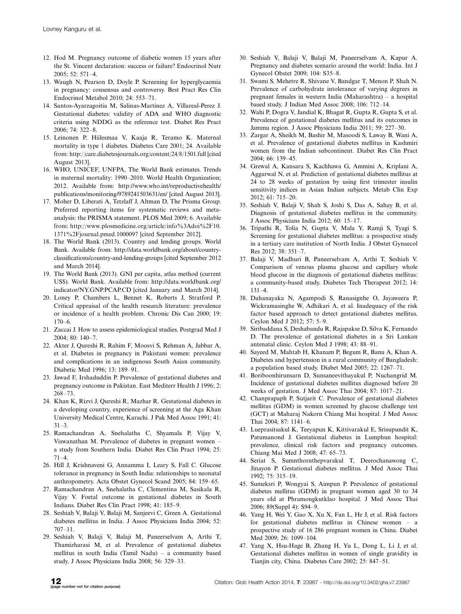- 12. Hod M. Pregnancy outcome of diabetic women 15 years after the St. Vincent declaration: success or failure? Endocrinol Nutr 2005; 52: 571-4.
- 13. Waugh N, Pearson D, Doyle P. Screening for hyperglycaemia in pregnancy: consensus and controversy. Best Pract Res Clin Endocrinol Metabol 2010; 24: 553-71.
- 14. Santos-Ayarzagoitia M, Salinas-Martinez A, Villareal-Perez J. Gestational diabetes: validity of ADA and WHO diagnostic criteria using NDDG as the reference test. Diabet Res Pract 2006; 74: 322-8.
- 15. Leinonen P, Hiilesmaa V, Kaaja R, Teramo K. Maternal mortality in type 1 diabetes. Diabetes Care 2001; 24. Available from:<http://care.diabetesjournals.org/content/24/8/1501.full> [cited August 2013].
- 16. WHO, UNICEF, UNFPA, The World Bank estimates. Trends in maternal mortality: 1990-2010. World Health Organization; 2012. Available from: [http://www.who.int/reproductivehealth/](http://www.who.int/reproductivehealth/publications/monitoring/9789241503631/en/) [publications/monitoring/9789241503631/en/](http://www.who.int/reproductivehealth/publications/monitoring/9789241503631/en/) [cited August 2013].
- 17. Moher D, Liberati A, Tetzlaff J, Altman D, The Prisma Group. Preferred reporting items for systematic reviews and metaanalysis: the PRISMA statement. PLOS Med 2009; 6. Available from: [http://www.plosmedicine.org/article/info%3Adoi%2F10.](http://www.plosmedicine.org/article/info%3Adoi%2F10.1371%2Fjournal.pmed.1000097) [1371%2Fjournal.pmed.1000097](http://www.plosmedicine.org/article/info%3Adoi%2F10.1371%2Fjournal.pmed.1000097) [cited September 2012].
- 18. The World Bank (2013). Country and lending groups. World Bank. Available from: [http://data.worldbank.org/about/country](http://data.worldbank.org/about/country-classifications/country-and-lending-groups)[classifications/country-and-lending-groups](http://data.worldbank.org/about/country-classifications/country-and-lending-groups) [cited September 2012 and March 2014].
- 19. The World Bank (2013). GNI per capita, atlas method (current US\$). World Bank. Available from: [http://data.worldbank.org/](http://data.worldbank.org/indicator/NY.GNP.PCAP.CD) [indicator/NY.GNP.PCAP.CD](http://data.worldbank.org/indicator/NY.GNP.PCAP.CD) [cited January and March 2014].
- 20. Loney P, Chambers L, Bennet K, Roberts J, Stratford P. Critical appraisal of the health research literature: prevalence or incidence of a health problem. Chronic Dis Can 2000; 19: 170-6.
- 21. Zaccai J. How to assess epidemiological studies. Postgrad Med J 2004; 80: 140-7.
- 22. Akter J, Qureshi R, Rahim F, Moosvi S, Rehman A, Jabbar A, et al. Diabetes in pregnancy in Pakistani women: prevalence and complications in an indigenous South Asian community. Diabetic Med 1996; 13: 189-91.
- 23. Jawad F, Irshaduddin P. Prevalence of gestational diabetes and pregnancy outcome in Pakistan. East Mediterr Health J 1996; 2: 268-73.
- 24. Khan K, Rizvi J, Qureshi R, Mazhar R. Gestational diabetes in a developing country, experience of screening at the Aga Khan University Medical Centre, Karachi. J Pak Med Assoc 1991; 41:  $31 - 3$ .
- 25. Ramachandran A, Snehalatha C, Shyamala P, Vijay V, Viswanathan M. Prevalence of diabetes in pregnant women a study from Southern India. Diabet Res Clin Pract 1994; 25:  $71 - 4.$
- 26. Hill J, Krishnaveni G, Annamma I, Leary S, Fall C. Glucose tolerance in pregnancy in South India: relationships to neonatal anthropometry. Acta Obstet Gynecol Scand 2005; 84: 159-65.
- 27. Ramachandran A, Snehalatha C, Clementina M, Sasikala R, Vijay V. Foetal outcome in gestational diabetes in South Indians. Diabet Res Clin Pract 1998; 41: 185-9.
- 28. Seshiah V, Balaji V, Balaji M, Sanjeevi C, Green A. Gestational diabetes mellitus in India. J Assoc Physicians India 2004; 52: 707-11.
- 29. Seshiah V, Balaji V, Balaji M, Paneerselvam A, Arthi T, Thamizharasi M, et al. Prevalence of gestational diabetes mellitus in south India (Tamil Nadu) - a community based study. J Assoc Physicians India 2008; 56: 329-33.
- 30. Seshiah V, Balaji V, Balaji M, Paneerselvam A, Kapur A. Pregnancy and diabetes scenario around the world: India. Int J Gynecol Obstet 2009; 104: S35-8.
- 31. Swami S, Mehetre R, Shivane V, Bandgar T, Menon P, Shah N. Prevalence of carbohydrate intolerance of varying degrees in pregnant females in western India (Maharashtra) - a hospital based study. J Indian Med Assoc 2008; 106: 712-14.
- 32. Wahi P, Dogra V, Jandial K, Bhagat R, Gupta R, Gupta S, et al. Prevalence of gestational diabetes mellitus and its outcomes in Jammu region. J Assoc Physicians India 2011; 59: 227-30.
- 33. Zargar A, Sheikh M, Bashir M, Masoodi S, Laway B, Wani A, et al. Prevalence of gestational diabetes mellitus in Kashmiri women from the Indian subcontinent. Diabet Res Clin Pract 2004; 66: 139-45.
- 34. Grewal A, Kansara S, Kachhawa G, Ammini A, Kriplani A, Aggarwal N, et al. Prediction of gestational diabetes mellitus at 24 to 28 weeks of gestation by using first trimester insulin sensitivity indices in Asian Indian subjects. Metab Clin Exp 2012; 61: 715-20.
- 35. Seshiah V, Balaji V, Shah S, Joshi S, Das A, Sahay B, et al. Diagnosis of gestational diabetes mellitus in the community. J Assoc Physicians India 2012; 60: 15-17.
- 36. Tripathi R, Tolia N, Gupta V, Mala Y, Ramji S, Tyagi S. Screening for gestational diabetes mellitus: a prospective study in a tertiary care institution of North India. J Obstet Gynaecol Res 2012; 38: 351-7.
- 37. Balaji V, Madhuri B, Paneerselvam A, Arthi T, Seshiah V. Comparison of venous plasma glucose and capillary whole blood glucose in the diagnosis of gestational diabetes mellitus: a community-based study. Diabetes Tech Therapeut 2012; 14: 131-4.
- 38. Dahanayaka N, Agampodi S, Ranasignhe O, Jayaweera P, Wickramasinghe W, Adhikari A, et al. Inadequacy of the risk factor based approach to detect gestational diabetes mellitus. Ceylon Med J 2012; 57: 5-9.
- 39. Siribaddana S, Deshabandu R, Rajapakse D, Silva K, Fernando D. The prevalence of gestational diabetes in a Sri Lankan antenatal clinic. Ceylon Med J 1998; 43: 88-91.
- 40. Sayeed M, Mahtab H, Khanam P, Begum R, Banu A, Khan A. Diabetes and hypertension in a rural community of Bangladesh: a population based study. Diabet Med 2005; 22: 1267-71.
- 41. Boriboonhirunsarn D, Sunsaneevithayakul P, Nuchangrid M. Incidence of gestational diabetes mellitus diagnosed before 20 weeks of gestation. J Med Assoc Thai 2004; 87: 1017-21.
- 42. Chanprapaph P, Sutjarit C. Prevalence of gestational diabetes mellitus (GDM) in women screened by glucose challenge test (GCT) at Maharaj Nakorn Chiang Mai hospital. J Med Assoc Thai 2004; 87: 1141-6.
- 43. Lueprasitsakul K, Teeyapun K, Kittivarakul E, Srisupundit K, Patumanond J. Gestational diabetes in Lumphun hospital: prevalence, clinical risk factors and pregnancy outcomes. Chiang Mai Med J 2008; 47: 65-73.
- 44. Seriat S, Sumnthornthepvarakul T, Deerochanawong C, Jinayon P. Gestational diabetes mellitus. J Med Assoc Thai 1992; 75: 315-19.
- 45. Sumeksri P, Wongyai S, Aimpun P. Prevalence of gestational diabetes mellitus (GDM) in pregnant women aged 30 to 34 years old at Phramongkutklao hospital. J Med Assoc Thai 2006; 89(Suppl 4): S94-9.
- 46. Yang H, Wei Y, Gao X, Xu X, Fan L, He J, et al. Risk factors for gestational diabetes mellitus in Chinese women - a prospective study of 16 286 pregnant women in China. Diabet Med 2009; 26: 1099-104.
- 47. Yang X, Hsu-Hage B, Zhang H, Yu L, Dong L, Li J, et al. Gestational diabetes mellitus in women of single gravidity in Tianjin city, China. Diabetes Care 2002; 25: 847-51.